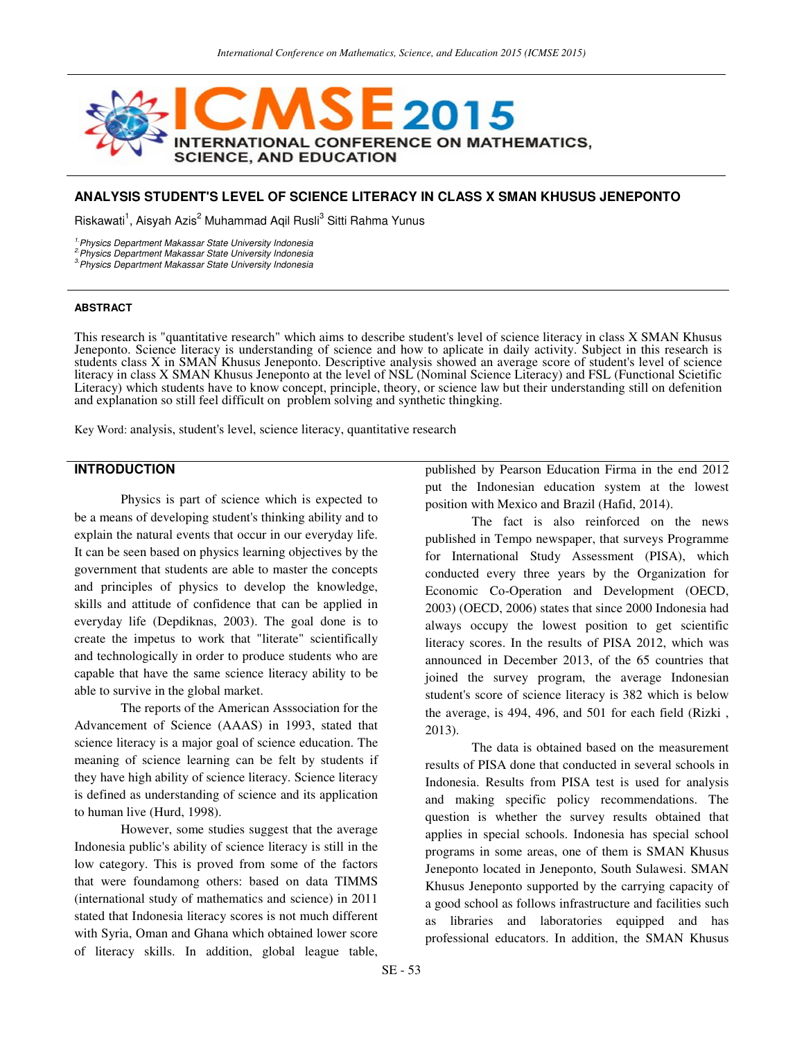

# **ANALYSIS STUDENT'S LEVEL OF SCIENCE LITERACY IN CLASS X SMAN KHUSUS JENEPONTO**

Riskawati<sup>1</sup>, Aisyah Azis<sup>2</sup> Muhammad Aqil Rusli<sup>3</sup> Sitti Rahma Yunus

<sup>1.</sup> Physics Department Makassar State University Indonesia

2.Physics Department Makassar State University Indonesia

<sup>3</sup> Physics Department Makassar State University Indonesia

#### **ABSTRACT**

This research is "quantitative research" which aims to describe student's level of science literacy in class X SMAN Khusus Jeneponto. Science literacy is understanding of science and how to aplicate in daily activity. Subject in this research is students class X in SMAN Khusus Jeneponto. Descriptive analysis showed an average score of student's level of science literacy in class X SMAN Khusus Jeneponto at the level of NSL (Nominal Science Literacy) and FSL (Functional Scietific Literacy) which students have to know concept, principle, theory, or science law but their understanding still on defenition and explanation so still feel difficult on problem solving and synthetic thingking.

Key Word: analysis, student's level, science literacy, quantitative research

# **INTRODUCTION**

Physics is part of science which is expected to be a means of developing student's thinking ability and to explain the natural events that occur in our everyday life. It can be seen based on physics learning objectives by the government that students are able to master the concepts and principles of physics to develop the knowledge, skills and attitude of confidence that can be applied in everyday life (Depdiknas, 2003). The goal done is to create the impetus to work that "literate" scientifically and technologically in order to produce students who are capable that have the same science literacy ability to be able to survive in the global market.

The reports of the American Asssociation for the Advancement of Science (AAAS) in 1993, stated that science literacy is a major goal of science education. The meaning of science learning can be felt by students if they have high ability of science literacy. Science literacy is defined as understanding of science and its application to human live (Hurd, 1998).

However, some studies suggest that the average Indonesia public's ability of science literacy is still in the low category. This is proved from some of the factors that were foundamong others: based on data TIMMS (international study of mathematics and science) in 2011 stated that Indonesia literacy scores is not much different with Syria, Oman and Ghana which obtained lower score of literacy skills. In addition, global league table,

published by Pearson Education Firma in the end 2012 put the Indonesian education system at the lowest position with Mexico and Brazil (Hafid, 2014).

The fact is also reinforced on the news published in Tempo newspaper, that surveys Programme for International Study Assessment (PISA), which conducted every three years by the Organization for Economic Co-Operation and Development (OECD, 2003) (OECD, 2006) states that since 2000 Indonesia had always occupy the lowest position to get scientific literacy scores. In the results of PISA 2012, which was announced in December 2013, of the 65 countries that joined the survey program, the average Indonesian student's score of science literacy is 382 which is below the average, is 494, 496, and 501 for each field (Rizki , 2013).

The data is obtained based on the measurement results of PISA done that conducted in several schools in Indonesia. Results from PISA test is used for analysis and making specific policy recommendations. The question is whether the survey results obtained that applies in special schools. Indonesia has special school programs in some areas, one of them is SMAN Khusus Jeneponto located in Jeneponto, South Sulawesi. SMAN Khusus Jeneponto supported by the carrying capacity of a good school as follows infrastructure and facilities such as libraries and laboratories equipped and has professional educators. In addition, the SMAN Khusus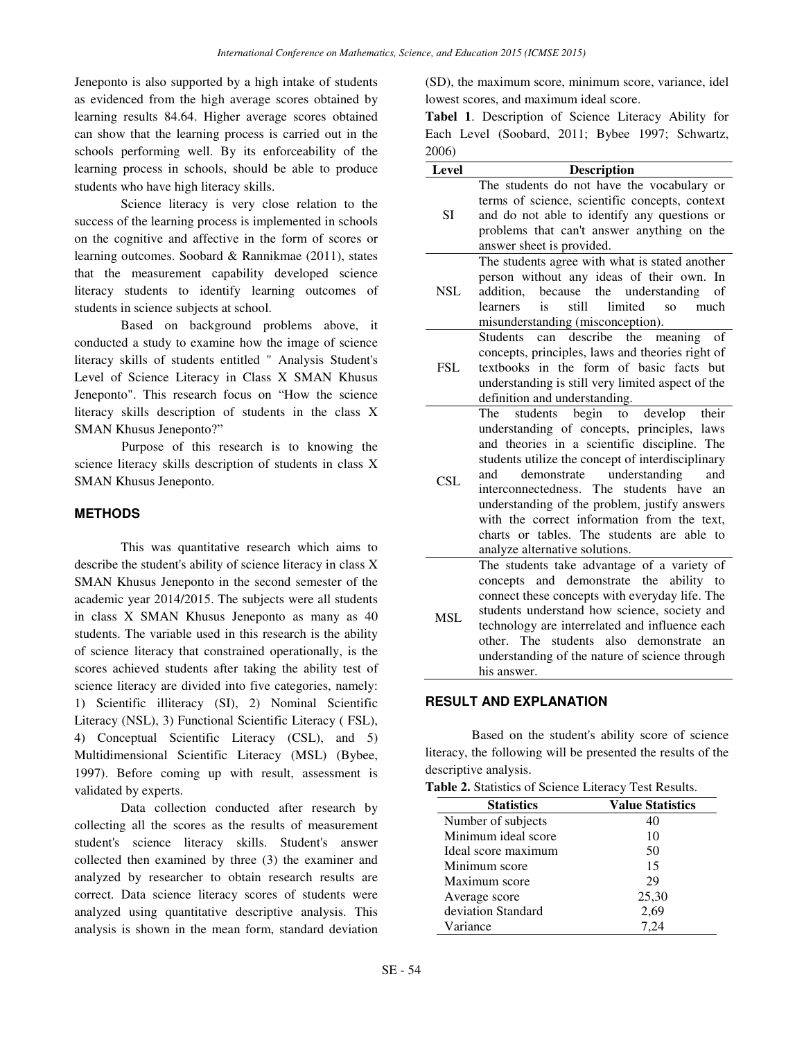Jeneponto is also supported by a high intake of students as evidenced from the high average scores obtained by learning results 84.64. Higher average scores obtained can show that the learning process is carried out in the schools performing well. By its enforceability of the learning process in schools, should be able to produce students who have high literacy skills.

Science literacy is very close relation to the success of the learning process is implemented in schools on the cognitive and affective in the form of scores or learning outcomes. Soobard & Rannikmae (2011), states that the measurement capability developed science literacy students to identify learning outcomes of students in science subjects at school.

Based on background problems above, it conducted a study to examine how the image of science literacy skills of students entitled " Analysis Student's Level of Science Literacy in Class X SMAN Khusus Jeneponto". This research focus on "How the science literacy skills description of students in the class X SMAN Khusus Jeneponto?"

Purpose of this research is to knowing the science literacy skills description of students in class X SMAN Khusus Jeneponto.

### **METHODS**

This was quantitative research which aims to describe the student's ability of science literacy in class X SMAN Khusus Jeneponto in the second semester of the academic year 2014/2015. The subjects were all students in class X SMAN Khusus Jeneponto as many as 40 students. The variable used in this research is the ability of science literacy that constrained operationally, is the scores achieved students after taking the ability test of science literacy are divided into five categories, namely: 1) Scientific illiteracy (SI), 2) Nominal Scientific Literacy (NSL), 3) Functional Scientific Literacy ( FSL), 4) Conceptual Scientific Literacy (CSL), and 5) Multidimensional Scientific Literacy (MSL) (Bybee, 1997). Before coming up with result, assessment is validated by experts.

Data collection conducted after research by collecting all the scores as the results of measurement student's science literacy skills. Student's answer collected then examined by three (3) the examiner and analyzed by researcher to obtain research results are correct. Data science literacy scores of students were analyzed using quantitative descriptive analysis. This analysis is shown in the mean form, standard deviation (SD), the maximum score, minimum score, variance, idel lowest scores, and maximum ideal score.

**Tabel 1**. Description of Science Literacy Ability for Each Level (Soobard, 2011; Bybee 1997; Schwartz, 2006)

| Level                                 | <b>Description</b>                                            |  |  |  |
|---------------------------------------|---------------------------------------------------------------|--|--|--|
|                                       | The students do not have the vocabulary or                    |  |  |  |
|                                       | terms of science, scientific concepts, context                |  |  |  |
| <b>SI</b>                             | and do not able to identify any questions or                  |  |  |  |
|                                       | problems that can't answer anything on the                    |  |  |  |
| answer sheet is provided.             |                                                               |  |  |  |
|                                       | The students agree with what is stated another                |  |  |  |
|                                       | person without any ideas of their own. In                     |  |  |  |
| <b>NSL</b><br>addition.<br>because    | the understanding<br>of                                       |  |  |  |
| is<br>learners                        | still<br>limited<br>SO <sub>2</sub><br>much                   |  |  |  |
|                                       | misunderstanding (misconception).                             |  |  |  |
| <b>Students</b>                       | can describe the<br>meaning<br>of                             |  |  |  |
|                                       | concepts, principles, laws and theories right of              |  |  |  |
| <b>FSL</b>                            | textbooks in the form of basic facts but                      |  |  |  |
|                                       | understanding is still very limited aspect of the             |  |  |  |
| definition and understanding.         |                                                               |  |  |  |
| The                                   | students begin to<br>develop<br>their                         |  |  |  |
|                                       | understanding of concepts, principles, laws                   |  |  |  |
|                                       | and theories in a scientific discipline. The                  |  |  |  |
|                                       | students utilize the concept of interdisciplinary             |  |  |  |
| demonstrate<br>and                    | understanding<br>and                                          |  |  |  |
| <b>CSL</b><br>interconnectedness. The | students have<br>an                                           |  |  |  |
|                                       | understanding of the problem, justify answers                 |  |  |  |
|                                       | with the correct information from the text,                   |  |  |  |
|                                       | charts or tables. The students are able to                    |  |  |  |
| analyze alternative solutions.        |                                                               |  |  |  |
|                                       | The students take advantage of a variety of                   |  |  |  |
|                                       | concepts and demonstrate the ability<br>to                    |  |  |  |
|                                       | connect these concepts with everyday life. The                |  |  |  |
|                                       | students understand how science, society and                  |  |  |  |
| MSL                                   | technology are interrelated and influence each                |  |  |  |
|                                       |                                                               |  |  |  |
|                                       | other. The students also<br>an                                |  |  |  |
|                                       | demonstrate<br>understanding of the nature of science through |  |  |  |

### **RESULT AND EXPLANATION**

Based on the student's ability score of science literacy, the following will be presented the results of the descriptive analysis.

|  |  | <b>Table 2.</b> Statistics of Science Literacy Test Results. |
|--|--|--------------------------------------------------------------|
|  |  |                                                              |

| <b>Statistics</b>   | <b>Value Statistics</b> |  |  |
|---------------------|-------------------------|--|--|
| Number of subjects  | 40                      |  |  |
| Minimum ideal score | 10                      |  |  |
| Ideal score maximum | 50                      |  |  |
| Minimum score       | 15                      |  |  |
| Maximum score       | 29                      |  |  |
| Average score       | 25,30                   |  |  |
| deviation Standard  | 2,69                    |  |  |
| Variance            | 7.24                    |  |  |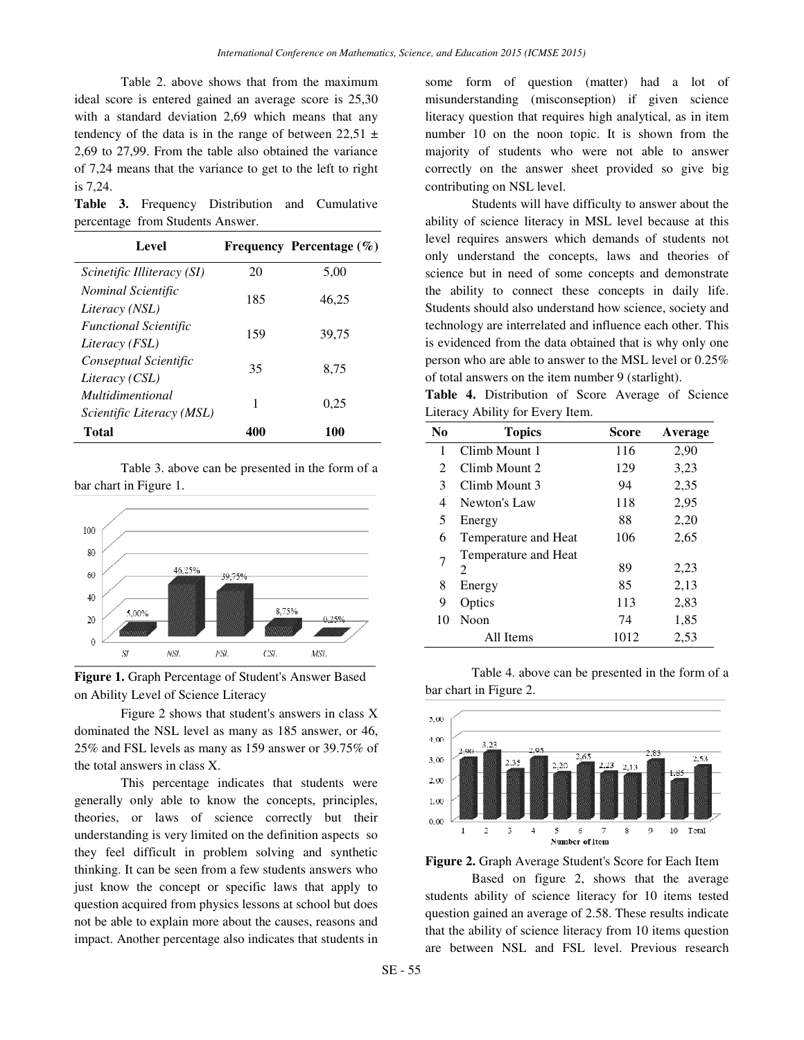Table 2. above shows that from the maximum ideal score is entered gained an average score is 25,30 with a standard deviation 2,69 which means that any tendency of the data is in the range of between  $22,51 \pm$ 2,69 to 27,99. From the table also obtained the variance of 7,24 means that the variance to get to the left to right is 7,24.

**Table 3.** Frequency Distribution and Cumulative percentage from Students Answer.

| Level                                                |     | Frequency Percentage $(\% )$ |
|------------------------------------------------------|-----|------------------------------|
| Scinetific Illiteracy (SI)                           | 20  | 5,00                         |
| <i>Nominal Scientific</i><br>Literacy (NSL)          | 185 | 46,25                        |
| <b>Functional Scientific</b><br>Literacy (FSL)       | 159 | 39.75                        |
| Conseptual Scientific<br>Literacy (CSL)              | 35  | 8.75                         |
| <i>Multidimentional</i><br>Scientific Literacy (MSL) | 1   | 0.25                         |
| Total                                                | 401 | 100                          |

Table 3. above can be presented in the form of a bar chart in Figure 1.



**Figure 1.** Graph Percentage of Student's Answer Based on Ability Level of Science Literacy

Figure 2 shows that student's answers in class X dominated the NSL level as many as 185 answer, or 46, 25% and FSL levels as many as 159 answer or 39.75% of the total answers in class X.

This percentage indicates that students were generally only able to know the concepts, principles, theories, or laws of science correctly but their understanding is very limited on the definition aspects so they feel difficult in problem solving and synthetic thinking. It can be seen from a few students answers who just know the concept or specific laws that apply to question acquired from physics lessons at school but does not be able to explain more about the causes, reasons and impact. Another percentage also indicates that students in

some form of question (matter) had a lot of misunderstanding (misconseption) if given science literacy question that requires high analytical, as in item number 10 on the noon topic. It is shown from the majority of students who were not able to answer correctly on the answer sheet provided so give big contributing on NSL level.

Students will have difficulty to answer about the ability of science literacy in MSL level because at this level requires answers which demands of students not only understand the concepts, laws and theories of science but in need of some concepts and demonstrate the ability to connect these concepts in daily life. Students should also understand how science, society and technology are interrelated and influence each other. This is evidenced from the data obtained that is why only one person who are able to answer to the MSL level or 0.25% of total answers on the item number 9 (starlight).

**Table 4.** Distribution of Score Average of Science Literacy Ability for Every Item.

| N <sub>0</sub> | <b>Topics</b>             | Score | Average |
|----------------|---------------------------|-------|---------|
| 1              | Climb Mount 1             | 116   | 2,90    |
| $\mathfrak{D}$ | Climb Mount 2             | 129   | 3,23    |
| 3              | Climb Mount 3             | 94    | 2,35    |
| 4              | Newton's Law              | 118   | 2,95    |
| 5              | Energy                    | 88    | 2,20    |
| 6              | Temperature and Heat      | 106   | 2,65    |
| 7              | Temperature and Heat<br>2 | 89    | 2,23    |
| 8              | Energy                    | 85    | 2,13    |
| 9              | Optics                    | 113   | 2,83    |
| 10             | Noon                      | 74    | 1,85    |
|                | All Items                 | 1012  | 2,53    |

Table 4. above can be presented in the form of a bar chart in Figure 2.



**Figure 2.** Graph Average Student's Score for Each Item

Based on figure 2, shows that the average students ability of science literacy for 10 items tested question gained an average of 2.58. These results indicate that the ability of science literacy from 10 items question are between NSL and FSL level. Previous research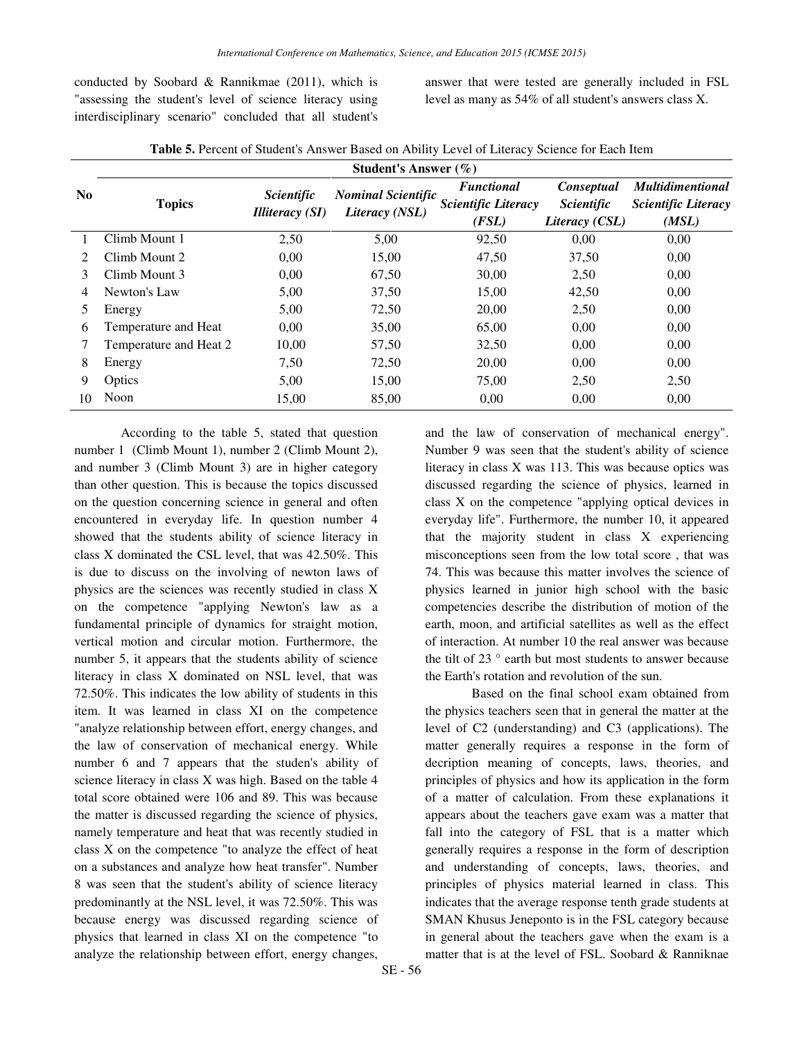conducted by Soobard & Rannikmae (2011), which is "assessing the student's level of science literacy using interdisciplinary scenario" concluded that all student's answer that were tested are generally included in FSL level as many as 54% of all student's answers class X.

|                             |                        | Student's Answer (%)                               |                                             |                                                          |                                                   |                                                                |
|-----------------------------|------------------------|----------------------------------------------------|---------------------------------------------|----------------------------------------------------------|---------------------------------------------------|----------------------------------------------------------------|
| N <sub>0</sub>              | <b>Topics</b>          | <i><u>Scientific</u></i><br><b>Illiteracy (SI)</b> | <b>Nominal Scientific</b><br>Literacy (NSL) | <b>Functional</b><br><b>Scientific Literacy</b><br>(FSL) | Conseptual<br><i>Scientific</i><br>Literacy (CSL) | <b>Multidimentional</b><br><b>Scientific Literacy</b><br>(MSL) |
|                             | Climb Mount 1          | 2,50                                               | 5,00                                        | 92,50                                                    | 0.00                                              | 0,00                                                           |
| $\mathcal{D}_{\mathcal{L}}$ | Climb Mount 2          | 0.00                                               | 15,00                                       | 47,50                                                    | 37,50                                             | 0,00                                                           |
| 3                           | Climb Mount 3          | 0,00                                               | 67,50                                       | 30,00                                                    | 2,50                                              | 0,00                                                           |
| 4                           | Newton's Law           | 5,00                                               | 37,50                                       | 15,00                                                    | 42,50                                             | 0,00                                                           |
| 5                           | Energy                 | 5,00                                               | 72,50                                       | 20,00                                                    | 2,50                                              | 0,00                                                           |
| 6                           | Temperature and Heat   | 0,00                                               | 35,00                                       | 65,00                                                    | 0,00                                              | 0,00                                                           |
|                             | Temperature and Heat 2 | 10,00                                              | 57,50                                       | 32,50                                                    | 0.00                                              | 0,00                                                           |
| 8                           | Energy                 | 7,50                                               | 72,50                                       | 20,00                                                    | 0,00                                              | 0,00                                                           |
| 9                           | Optics                 | 5,00                                               | 15,00                                       | 75,00                                                    | 2,50                                              | 2,50                                                           |
| 10                          | Noon                   | 15,00                                              | 85,00                                       | 0,00                                                     | 0,00                                              | 0,00                                                           |

According to the table 5, stated that question number 1 (Climb Mount 1), number 2 (Climb Mount 2), and number 3 (Climb Mount 3) are in higher category than other question. This is because the topics discussed on the question concerning science in general and often encountered in everyday life. In question number 4 showed that the students ability of science literacy in class X dominated the CSL level, that was 42.50%. This is due to discuss on the involving of newton laws of physics are the sciences was recently studied in class X on the competence "applying Newton's law as a fundamental principle of dynamics for straight motion, vertical motion and circular motion. Furthermore, the number 5, it appears that the students ability of science literacy in class X dominated on NSL level, that was 72.50%. This indicates the low ability of students in this item. It was learned in class XI on the competence "analyze relationship between effort, energy changes, and the law of conservation of mechanical energy. While number 6 and 7 appears that the studen's ability of science literacy in class X was high. Based on the table 4 total score obtained were 106 and 89. This was because the matter is discussed regarding the science of physics, namely temperature and heat that was recently studied in class X on the competence "to analyze the effect of heat on a substances and analyze how heat transfer". Number 8 was seen that the student's ability of science literacy predominantly at the NSL level, it was 72.50%. This was because energy was discussed regarding science of physics that learned in class XI on the competence "to analyze the relationship between effort, energy changes,

and the law of conservation of mechanical energy". Number 9 was seen that the student's ability of science literacy in class X was 113. This was because optics was discussed regarding the science of physics, learned in class X on the competence "applying optical devices in everyday life". Furthermore, the number 10, it appeared that the majority student in class X experiencing misconceptions seen from the low total score , that was 74. This was because this matter involves the science of physics learned in junior high school with the basic competencies describe the distribution of motion of the earth, moon, and artificial satellites as well as the effect of interaction. At number 10 the real answer was because the tilt of 23 ° earth but most students to answer because the Earth's rotation and revolution of the sun.

Based on the final school exam obtained from the physics teachers seen that in general the matter at the level of C2 (understanding) and C3 (applications). The matter generally requires a response in the form of decription meaning of concepts, laws, theories, and principles of physics and how its application in the form of a matter of calculation. From these explanations it appears about the teachers gave exam was a matter that fall into the category of FSL that is a matter which generally requires a response in the form of description and understanding of concepts, laws, theories, and principles of physics material learned in class. This indicates that the average response tenth grade students at SMAN Khusus Jeneponto is in the FSL category because in general about the teachers gave when the exam is a matter that is at the level of FSL. Soobard & Ranniknae